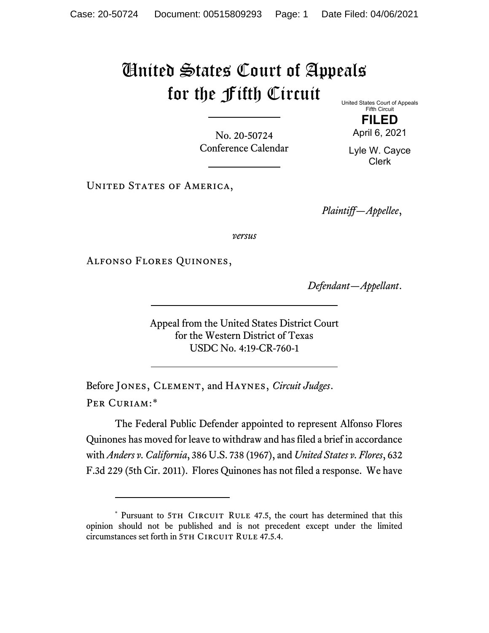## United States Court of Appeals for the Fifth Circuit

United States Court of Appeals Fifth Circuit

**FILED** April 6, 2021

No. 20-50724 Conference Calendar

Lyle W. Cayce Clerk

UNITED STATES OF AMERICA,

*Plaintiff—Appellee*,

*versus*

Alfonso Flores Quinones,

*Defendant—Appellant*.

Appeal from the United States District Court for the Western District of Texas USDC No. 4:19-CR-760-1

Before Jones, Clement, and Haynes, *Circuit Judges*. Per Curiam:[\\*](#page-0-0)

The Federal Public Defender appointed to represent Alfonso Flores Quinones has moved for leave to withdraw and has filed a brief in accordance with *Anders v. California*, 386 U.S. 738 (1967), and *United States v. Flores*, 632 F.3d 229 (5th Cir. 2011). Flores Quinones has not filed a response. We have

<span id="page-0-0"></span><sup>\*</sup> Pursuant to 5TH CIRCUIT RULE 47.5, the court has determined that this opinion should not be published and is not precedent except under the limited circumstances set forth in 5TH CIRCUIT RULE 47.5.4.